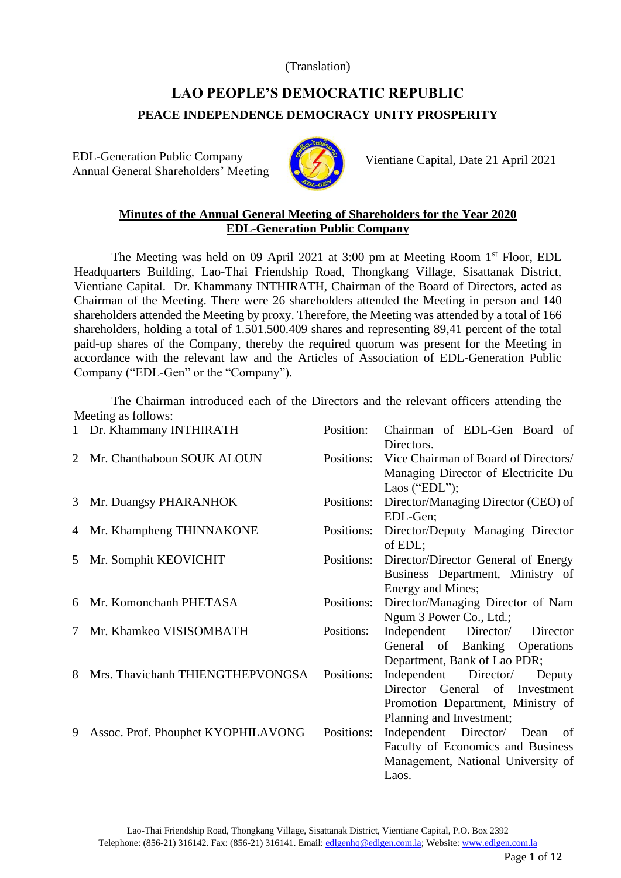(Translation)

# **LAO PEOPLE'S DEMOCRATIC REPUBLIC PEACE INDEPENDENCE DEMOCRACY UNITY PROSPERITY**

EDL-Generation Public Company Annual General Shareholders' Meeting



Vientiane Capital, Date 21 April 2021

# **Minutes of the Annual General Meeting of Shareholders for the Year 2020 EDL-Generation Public Company**

The Meeting was held on 09 April 2021 at 3:00 pm at Meeting Room 1<sup>st</sup> Floor, EDL Headquarters Building, Lao-Thai Friendship Road, Thongkang Village, Sisattanak District, Vientiane Capital. Dr. Khammany INTHIRATH, Chairman of the Board of Directors, acted as Chairman of the Meeting. There were 26 shareholders attended the Meeting in person and 140 shareholders attended the Meeting by proxy. Therefore, the Meeting was attended by a total of 166 shareholders, holding a total of 1.501.500.409 shares and representing 89,41 percent of the total paid-up shares of the Company, thereby the required quorum was present for the Meeting in accordance with the relevant law and the Articles of Association of EDL-Generation Public Company ("EDL-Gen" or the "Company").

The Chairman introduced each of the Directors and the relevant officers attending the Meeting as follows:

| $\mathbf{1}$ | Dr. Khammany INTHIRATH             | Position:  | Chairman of EDL-Gen Board of<br>Directors.                                                                                         |
|--------------|------------------------------------|------------|------------------------------------------------------------------------------------------------------------------------------------|
| 2            | Mr. Chanthaboun SOUK ALOUN         | Positions: | Vice Chairman of Board of Directors/<br>Managing Director of Electricite Du<br>Laos ("EDL");                                       |
| 3            | Mr. Duangsy PHARANHOK              | Positions: | Director/Managing Director (CEO) of<br>EDL-Gen;                                                                                    |
| 4            | Mr. Khampheng THINNAKONE           | Positions: | Director/Deputy Managing Director<br>of EDL;                                                                                       |
| 5            | Mr. Somphit KEOVICHIT              | Positions: | Director/Director General of Energy<br>Business Department, Ministry of<br>Energy and Mines;                                       |
| 6            | Mr. Komonchanh PHETASA             | Positions: | Director/Managing Director of Nam<br>Ngum 3 Power Co., Ltd.;                                                                       |
| 7            | Mr. Khamkeo VISISOMBATH            | Positions: | Independent Director/<br>Director<br>General of Banking Operations<br>Department, Bank of Lao PDR;                                 |
| 8            | Mrs. Thavichanh THIENGTHEPVONGSA   | Positions: | Independent Director/<br>Deputy<br>Director General of Investment<br>Promotion Department, Ministry of<br>Planning and Investment; |
| 9            | Assoc. Prof. Phouphet KYOPHILAVONG | Positions: | Independent Director/ Dean<br>of<br>Faculty of Economics and Business<br>Management, National University of<br>Laos.               |

Lao-Thai Friendship Road, Thongkang Village, Sisattanak District, Vientiane Capital, P.O. Box 2392 Telephone: (856-21) 316142. Fax: (856-21) 316141. Email: [edlgenhq@edlgen.com.la;](mailto:edlgenhq@edlgen.com.la) Website: [www.edlgen.com.la](http://www.edlgen.com.la/)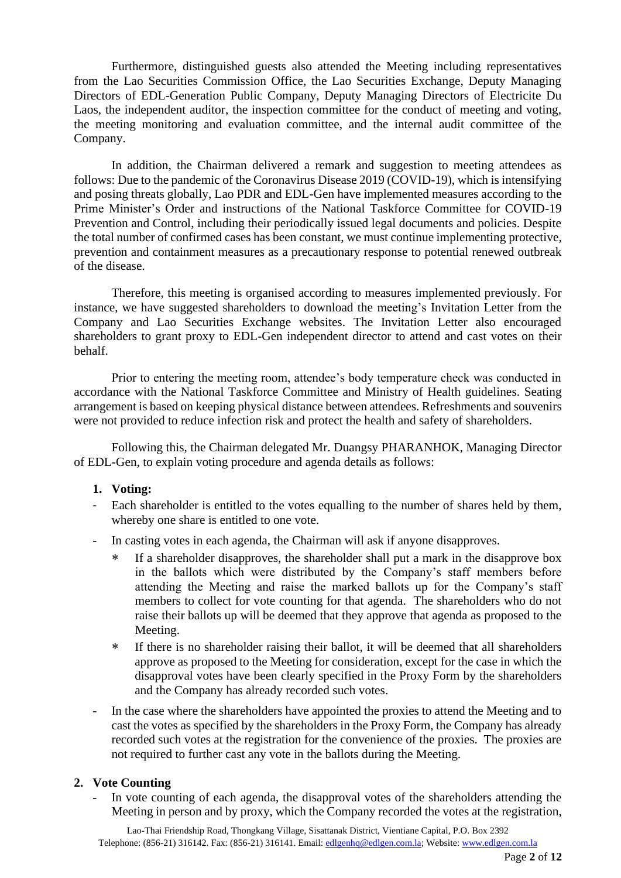Furthermore, distinguished guests also attended the Meeting including representatives from the Lao Securities Commission Office, the Lao Securities Exchange, Deputy Managing Directors of EDL-Generation Public Company, Deputy Managing Directors of Electricite Du Laos, the independent auditor, the inspection committee for the conduct of meeting and voting, the meeting monitoring and evaluation committee, and the internal audit committee of the Company.

In addition, the Chairman delivered a remark and suggestion to meeting attendees as follows: Due to the pandemic of the Coronavirus Disease 2019 (COVID-19), which is intensifying and posing threats globally, Lao PDR and EDL-Gen have implemented measures according to the Prime Minister's Order and instructions of the National Taskforce Committee for COVID-19 Prevention and Control, including their periodically issued legal documents and policies. Despite the total number of confirmed cases has been constant, we must continue implementing protective, prevention and containment measures as a precautionary response to potential renewed outbreak of the disease.

Therefore, this meeting is organised according to measures implemented previously. For instance, we have suggested shareholders to download the meeting's Invitation Letter from the Company and Lao Securities Exchange websites. The Invitation Letter also encouraged shareholders to grant proxy to EDL-Gen independent director to attend and cast votes on their behalf.

Prior to entering the meeting room, attendee's body temperature check was conducted in accordance with the National Taskforce Committee and Ministry of Health guidelines. Seating arrangement is based on keeping physical distance between attendees. Refreshments and souvenirs were not provided to reduce infection risk and protect the health and safety of shareholders.

Following this, the Chairman delegated Mr. Duangsy PHARANHOK, Managing Director of EDL-Gen, to explain voting procedure and agenda details as follows:

#### **1. Voting:**

- Each shareholder is entitled to the votes equalling to the number of shares held by them, whereby one share is entitled to one vote.
- In casting votes in each agenda, the Chairman will ask if anyone disapproves.
	- If a shareholder disapproves, the shareholder shall put a mark in the disapprove box in the ballots which were distributed by the Company's staff members before attending the Meeting and raise the marked ballots up for the Company's staff members to collect for vote counting for that agenda. The shareholders who do not raise their ballots up will be deemed that they approve that agenda as proposed to the Meeting.
	- If there is no shareholder raising their ballot, it will be deemed that all shareholders approve as proposed to the Meeting for consideration, except for the case in which the disapproval votes have been clearly specified in the Proxy Form by the shareholders and the Company has already recorded such votes.
- In the case where the shareholders have appointed the proxies to attend the Meeting and to cast the votes as specified by the shareholders in the Proxy Form, the Company has already recorded such votes at the registration for the convenience of the proxies. The proxies are not required to further cast any vote in the ballots during the Meeting.

# **2. Vote Counting**

In vote counting of each agenda, the disapproval votes of the shareholders attending the Meeting in person and by proxy, which the Company recorded the votes at the registration,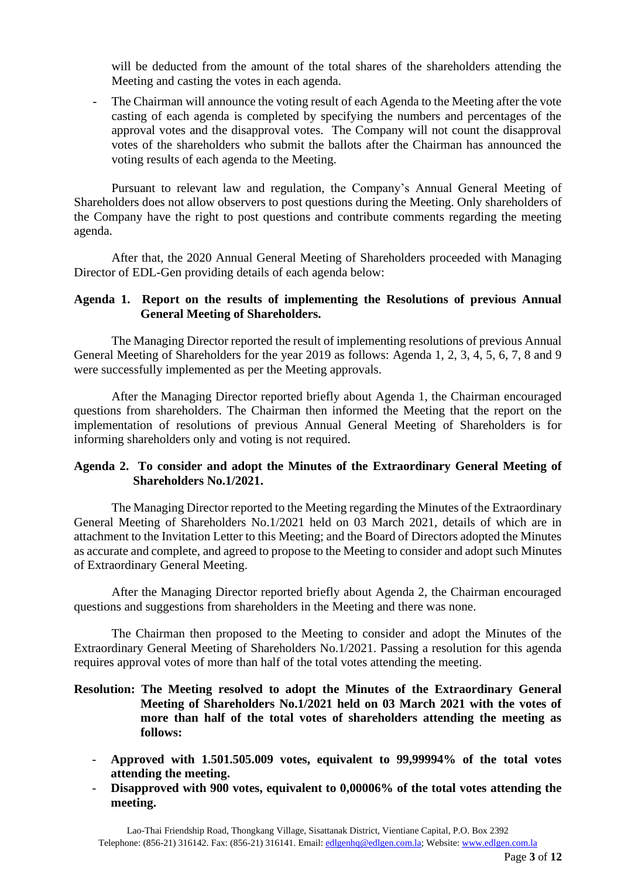will be deducted from the amount of the total shares of the shareholders attending the Meeting and casting the votes in each agenda.

The Chairman will announce the voting result of each Agenda to the Meeting after the vote casting of each agenda is completed by specifying the numbers and percentages of the approval votes and the disapproval votes. The Company will not count the disapproval votes of the shareholders who submit the ballots after the Chairman has announced the voting results of each agenda to the Meeting.

Pursuant to relevant law and regulation, the Company's Annual General Meeting of Shareholders does not allow observers to post questions during the Meeting. Only shareholders of the Company have the right to post questions and contribute comments regarding the meeting agenda.

After that, the 2020 Annual General Meeting of Shareholders proceeded with Managing Director of EDL-Gen providing details of each agenda below:

#### **Agenda 1. Report on the results of implementing the Resolutions of previous Annual General Meeting of Shareholders.**

The Managing Director reported the result of implementing resolutions of previous Annual General Meeting of Shareholders for the year 2019 as follows: Agenda 1, 2, 3, 4, 5, 6, 7, 8 and 9 were successfully implemented as per the Meeting approvals.

After the Managing Director reported briefly about Agenda 1, the Chairman encouraged questions from shareholders. The Chairman then informed the Meeting that the report on the implementation of resolutions of previous Annual General Meeting of Shareholders is for informing shareholders only and voting is not required.

#### **Agenda 2. To consider and adopt the Minutes of the Extraordinary General Meeting of Shareholders No.1/2021.**

The Managing Director reported to the Meeting regarding the Minutes of the Extraordinary General Meeting of Shareholders No.1/2021 held on 03 March 2021, details of which are in attachment to the Invitation Letter to this Meeting; and the Board of Directors adopted the Minutes as accurate and complete, and agreed to propose to the Meeting to consider and adopt such Minutes of Extraordinary General Meeting.

After the Managing Director reported briefly about Agenda 2, the Chairman encouraged questions and suggestions from shareholders in the Meeting and there was none.

The Chairman then proposed to the Meeting to consider and adopt the Minutes of the Extraordinary General Meeting of Shareholders No.1/2021. Passing a resolution for this agenda requires approval votes of more than half of the total votes attending the meeting.

## **Resolution: The Meeting resolved to adopt the Minutes of the Extraordinary General Meeting of Shareholders No.1/2021 held on 03 March 2021 with the votes of more than half of the total votes of shareholders attending the meeting as follows:**

- **Approved with 1.501.505.009 votes, equivalent to 99,99994% of the total votes attending the meeting.**
- Disapproved with 900 votes, equivalent to 0,00006% of the total votes attending the **meeting.**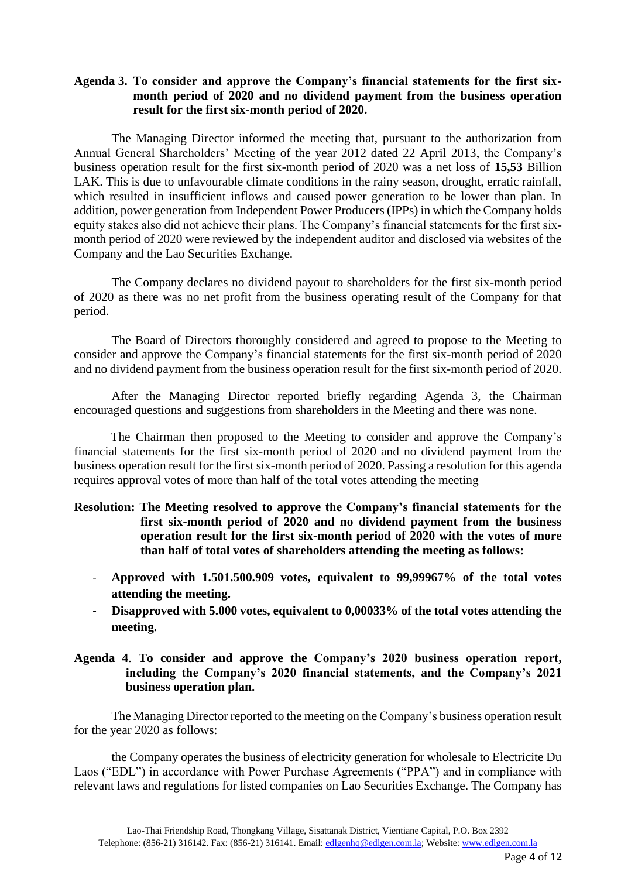## **Agenda 3. To consider and approve the Company's financial statements for the first sixmonth period of 2020 and no dividend payment from the business operation result for the first six-month period of 2020.**

The Managing Director informed the meeting that, pursuant to the authorization from Annual General Shareholders' Meeting of the year 2012 dated 22 April 2013, the Company's business operation result for the first six-month period of 2020 was a net loss of **15,53** Billion LAK. This is due to unfavourable climate conditions in the rainy season, drought, erratic rainfall, which resulted in insufficient inflows and caused power generation to be lower than plan. In addition, power generation from Independent Power Producers (IPPs) in which the Company holds equity stakes also did not achieve their plans. The Company's financial statements for the first sixmonth period of 2020 were reviewed by the independent auditor and disclosed via websites of the Company and the Lao Securities Exchange.

The Company declares no dividend payout to shareholders for the first six-month period of 2020 as there was no net profit from the business operating result of the Company for that period.

The Board of Directors thoroughly considered and agreed to propose to the Meeting to consider and approve the Company's financial statements for the first six-month period of 2020 and no dividend payment from the business operation result for the first six-month period of 2020.

After the Managing Director reported briefly regarding Agenda 3, the Chairman encouraged questions and suggestions from shareholders in the Meeting and there was none.

The Chairman then proposed to the Meeting to consider and approve the Company's financial statements for the first six-month period of 2020 and no dividend payment from the business operation result for the first six-month period of 2020. Passing a resolution for this agenda requires approval votes of more than half of the total votes attending the meeting

- **Resolution: The Meeting resolved to approve the Company's financial statements for the first six-month period of 2020 and no dividend payment from the business operation result for the first six-month period of 2020 with the votes of more than half of total votes of shareholders attending the meeting as follows:**
	- **Approved with 1.501.500.909 votes, equivalent to 99,99967% of the total votes attending the meeting.**
	- **Disapproved with 5.000 votes, equivalent to 0,00033% of the total votes attending the meeting.**

# **Agenda 4**. **To consider and approve the Company's 2020 business operation report, including the Company's 2020 financial statements, and the Company's 2021 business operation plan.**

The Managing Director reported to the meeting on the Company's business operation result for the year 2020 as follows:

the Company operates the business of electricity generation for wholesale to Electricite Du Laos ("EDL") in accordance with Power Purchase Agreements ("PPA") and in compliance with relevant laws and regulations for listed companies on Lao Securities Exchange. The Company has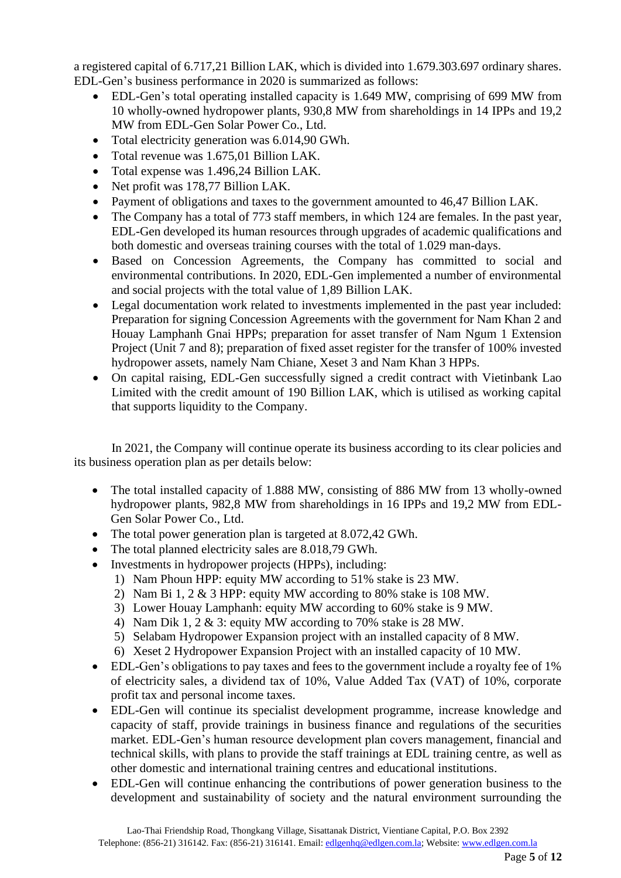a registered capital of 6.717,21 Billion LAK, which is divided into 1.679.303.697 ordinary shares. EDL-Gen's business performance in 2020 is summarized as follows:

- EDL-Gen's total operating installed capacity is 1.649 MW, comprising of 699 MW from 10 wholly-owned hydropower plants, 930,8 MW from shareholdings in 14 IPPs and 19,2 MW from EDL-Gen Solar Power Co., Ltd.
- Total electricity generation was 6.014,90 GWh.
- Total revenue was 1.675,01 Billion LAK.
- Total expense was 1.496,24 Billion LAK.
- Net profit was 178,77 Billion LAK.
- Payment of obligations and taxes to the government amounted to 46,47 Billion LAK.
- The Company has a total of 773 staff members, in which 124 are females. In the past year, EDL-Gen developed its human resources through upgrades of academic qualifications and both domestic and overseas training courses with the total of 1.029 man-days.
- Based on Concession Agreements, the Company has committed to social and environmental contributions. In 2020, EDL-Gen implemented a number of environmental and social projects with the total value of 1,89 Billion LAK.
- Legal documentation work related to investments implemented in the past year included: Preparation for signing Concession Agreements with the government for Nam Khan 2 and Houay Lamphanh Gnai HPPs; preparation for asset transfer of Nam Ngum 1 Extension Project (Unit 7 and 8); preparation of fixed asset register for the transfer of 100% invested hydropower assets, namely Nam Chiane, Xeset 3 and Nam Khan 3 HPPs.
- On capital raising, EDL-Gen successfully signed a credit contract with Vietinbank Lao Limited with the credit amount of 190 Billion LAK, which is utilised as working capital that supports liquidity to the Company.

In 2021, the Company will continue operate its business according to its clear policies and its business operation plan as per details below:

- The total installed capacity of 1.888 MW, consisting of 886 MW from 13 wholly-owned hydropower plants, 982,8 MW from shareholdings in 16 IPPs and 19,2 MW from EDL-Gen Solar Power Co., Ltd.
- The total power generation plan is targeted at 8.072,42 GWh.
- The total planned electricity sales are 8.018,79 GWh.
- Investments in hydropower projects (HPPs), including:
	- 1) Nam Phoun HPP: equity MW according to 51% stake is 23 MW.
	- 2) Nam Bi 1, 2 & 3 HPP: equity MW according to 80% stake is 108 MW.
	- 3) Lower Houay Lamphanh: equity MW according to 60% stake is 9 MW.
	- 4) Nam Dik 1, 2 & 3: equity MW according to 70% stake is 28 MW.
	- 5) Selabam Hydropower Expansion project with an installed capacity of 8 MW.
	- 6) Xeset 2 Hydropower Expansion Project with an installed capacity of 10 MW.
- EDL-Gen's obligations to pay taxes and fees to the government include a royalty fee of 1% of electricity sales, a dividend tax of 10%, Value Added Tax (VAT) of 10%, corporate profit tax and personal income taxes.
- EDL-Gen will continue its specialist development programme, increase knowledge and capacity of staff, provide trainings in business finance and regulations of the securities market. EDL-Gen's human resource development plan covers management, financial and technical skills, with plans to provide the staff trainings at EDL training centre, as well as other domestic and international training centres and educational institutions.
- EDL-Gen will continue enhancing the contributions of power generation business to the development and sustainability of society and the natural environment surrounding the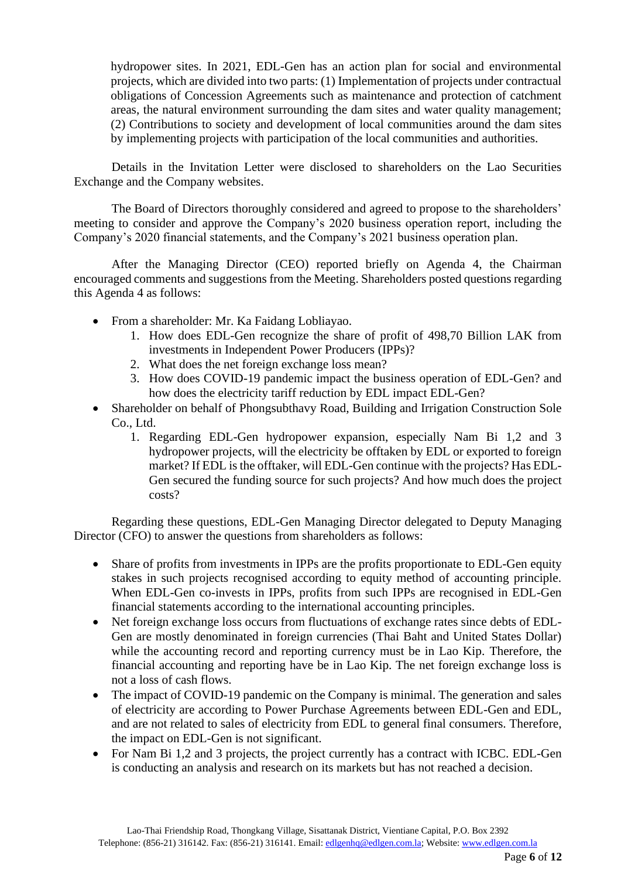hydropower sites. In 2021, EDL-Gen has an action plan for social and environmental projects, which are divided into two parts: (1) Implementation of projects under contractual obligations of Concession Agreements such as maintenance and protection of catchment areas, the natural environment surrounding the dam sites and water quality management; (2) Contributions to society and development of local communities around the dam sites by implementing projects with participation of the local communities and authorities.

Details in the Invitation Letter were disclosed to shareholders on the Lao Securities Exchange and the Company websites.

The Board of Directors thoroughly considered and agreed to propose to the shareholders' meeting to consider and approve the Company's 2020 business operation report, including the Company's 2020 financial statements, and the Company's 2021 business operation plan.

After the Managing Director (CEO) reported briefly on Agenda 4, the Chairman encouraged comments and suggestions from the Meeting. Shareholders posted questions regarding this Agenda 4 as follows:

- From a shareholder: Mr. Ka Faidang Lobliayao.
	- 1. How does EDL-Gen recognize the share of profit of 498,70 Billion LAK from investments in Independent Power Producers (IPPs)?
	- 2. What does the net foreign exchange loss mean?
	- 3. How does COVID-19 pandemic impact the business operation of EDL-Gen? and how does the electricity tariff reduction by EDL impact EDL-Gen?
- Shareholder on behalf of Phongsubthavy Road, Building and Irrigation Construction Sole Co., Ltd.
	- 1. Regarding EDL-Gen hydropower expansion, especially Nam Bi 1,2 and 3 hydropower projects, will the electricity be offtaken by EDL or exported to foreign market? If EDL is the offtaker, will EDL-Gen continue with the projects? Has EDL-Gen secured the funding source for such projects? And how much does the project costs?

Regarding these questions, EDL-Gen Managing Director delegated to Deputy Managing Director (CFO) to answer the questions from shareholders as follows:

- Share of profits from investments in IPPs are the profits proportionate to EDL-Gen equity stakes in such projects recognised according to equity method of accounting principle. When EDL-Gen co-invests in IPPs, profits from such IPPs are recognised in EDL-Gen financial statements according to the international accounting principles.
- Net foreign exchange loss occurs from fluctuations of exchange rates since debts of EDL-Gen are mostly denominated in foreign currencies (Thai Baht and United States Dollar) while the accounting record and reporting currency must be in Lao Kip. Therefore, the financial accounting and reporting have be in Lao Kip. The net foreign exchange loss is not a loss of cash flows.
- The impact of COVID-19 pandemic on the Company is minimal. The generation and sales of electricity are according to Power Purchase Agreements between EDL-Gen and EDL, and are not related to sales of electricity from EDL to general final consumers. Therefore, the impact on EDL-Gen is not significant.
- For Nam Bi 1,2 and 3 projects, the project currently has a contract with ICBC. EDL-Gen is conducting an analysis and research on its markets but has not reached a decision.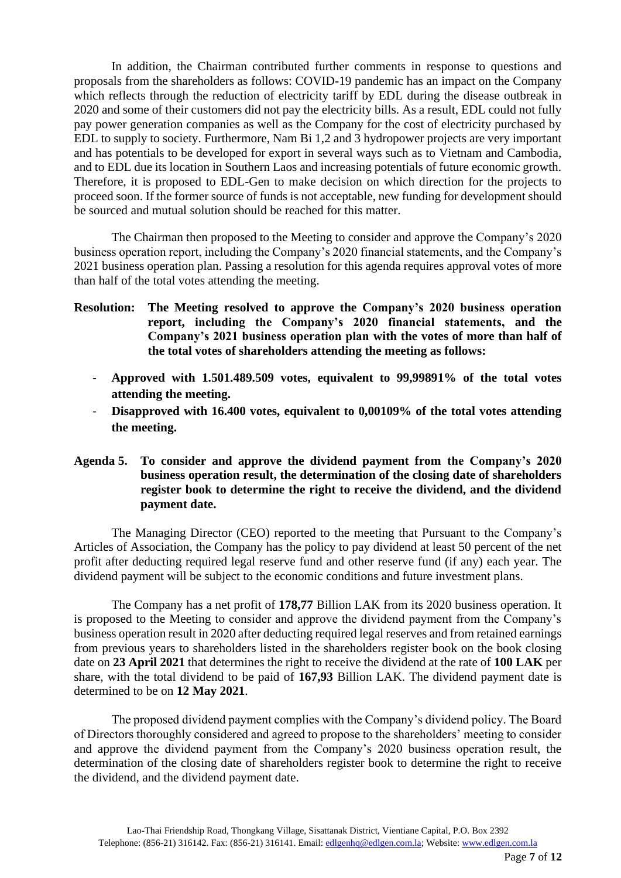In addition, the Chairman contributed further comments in response to questions and proposals from the shareholders as follows: COVID-19 pandemic has an impact on the Company which reflects through the reduction of electricity tariff by EDL during the disease outbreak in 2020 and some of their customers did not pay the electricity bills. As a result, EDL could not fully pay power generation companies as well as the Company for the cost of electricity purchased by EDL to supply to society. Furthermore, Nam Bi 1,2 and 3 hydropower projects are very important and has potentials to be developed for export in several ways such as to Vietnam and Cambodia, and to EDL due its location in Southern Laos and increasing potentials of future economic growth. Therefore, it is proposed to EDL-Gen to make decision on which direction for the projects to proceed soon. If the former source of funds is not acceptable, new funding for development should be sourced and mutual solution should be reached for this matter.

The Chairman then proposed to the Meeting to consider and approve the Company's 2020 business operation report, including the Company's 2020 financial statements, and the Company's 2021 business operation plan. Passing a resolution for this agenda requires approval votes of more than half of the total votes attending the meeting.

- **Resolution: The Meeting resolved to approve the Company's 2020 business operation report, including the Company's 2020 financial statements, and the Company's 2021 business operation plan with the votes of more than half of the total votes of shareholders attending the meeting as follows:**
	- **Approved with 1.501.489.509 votes, equivalent to 99,99891% of the total votes attending the meeting.**
	- **Disapproved with 16.400 votes, equivalent to 0,00109% of the total votes attending the meeting.**

#### **Agenda 5. To consider and approve the dividend payment from the Company's 2020 business operation result, the determination of the closing date of shareholders register book to determine the right to receive the dividend, and the dividend payment date.**

The Managing Director (CEO) reported to the meeting that Pursuant to the Company's Articles of Association, the Company has the policy to pay dividend at least 50 percent of the net profit after deducting required legal reserve fund and other reserve fund (if any) each year. The dividend payment will be subject to the economic conditions and future investment plans.

The Company has a net profit of **178,77** Billion LAK from its 2020 business operation. It is proposed to the Meeting to consider and approve the dividend payment from the Company's business operation result in 2020 after deducting required legal reserves and from retained earnings from previous years to shareholders listed in the shareholders register book on the book closing date on **23 April 2021** that determines the right to receive the dividend at the rate of **100 LAK** per share, with the total dividend to be paid of **167,93** Billion LAK. The dividend payment date is determined to be on **12 May 2021**.

The proposed dividend payment complies with the Company's dividend policy. The Board of Directors thoroughly considered and agreed to propose to the shareholders' meeting to consider and approve the dividend payment from the Company's 2020 business operation result, the determination of the closing date of shareholders register book to determine the right to receive the dividend, and the dividend payment date.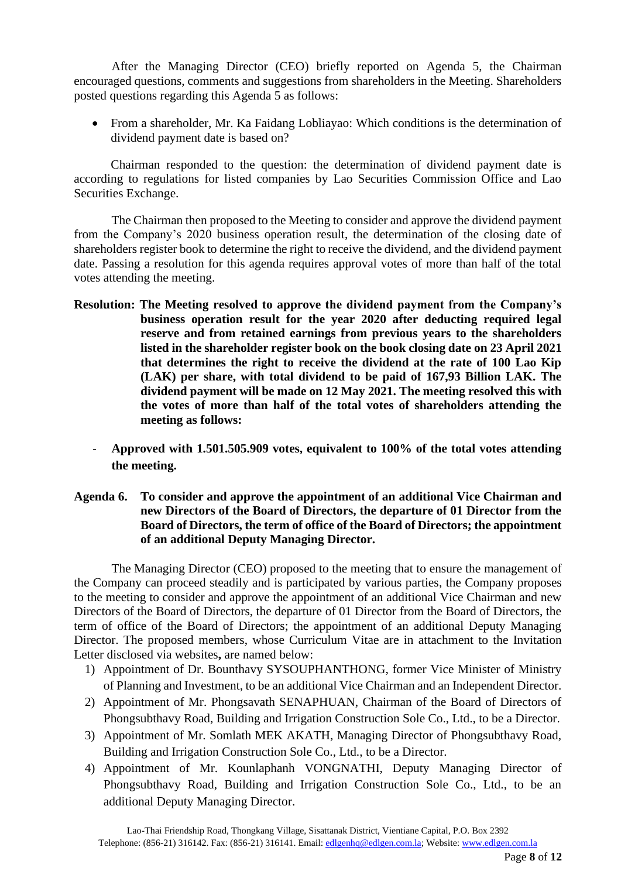After the Managing Director (CEO) briefly reported on Agenda 5, the Chairman encouraged questions, comments and suggestions from shareholders in the Meeting. Shareholders posted questions regarding this Agenda 5 as follows:

• From a shareholder, Mr. Ka Faidang Lobliayao: Which conditions is the determination of dividend payment date is based on?

Chairman responded to the question: the determination of dividend payment date is according to regulations for listed companies by Lao Securities Commission Office and Lao Securities Exchange.

The Chairman then proposed to the Meeting to consider and approve the dividend payment from the Company's 2020 business operation result, the determination of the closing date of shareholders register book to determine the right to receive the dividend, and the dividend payment date. Passing a resolution for this agenda requires approval votes of more than half of the total votes attending the meeting.

- **Resolution: The Meeting resolved to approve the dividend payment from the Company's business operation result for the year 2020 after deducting required legal reserve and from retained earnings from previous years to the shareholders listed in the shareholder register book on the book closing date on 23 April 2021 that determines the right to receive the dividend at the rate of 100 Lao Kip (LAK) per share, with total dividend to be paid of 167,93 Billion LAK. The dividend payment will be made on 12 May 2021. The meeting resolved this with the votes of more than half of the total votes of shareholders attending the meeting as follows:**
	- **Approved with 1.501.505.909 votes, equivalent to 100% of the total votes attending the meeting.**

#### **Agenda 6. To consider and approve the appointment of an additional Vice Chairman and new Directors of the Board of Directors, the departure of 01 Director from the Board of Directors, the term of office of the Board of Directors; the appointment of an additional Deputy Managing Director.**

The Managing Director (CEO) proposed to the meeting that to ensure the management of the Company can proceed steadily and is participated by various parties, the Company proposes to the meeting to consider and approve the appointment of an additional Vice Chairman and new Directors of the Board of Directors, the departure of 01 Director from the Board of Directors, the term of office of the Board of Directors; the appointment of an additional Deputy Managing Director. The proposed members, whose Curriculum Vitae are in attachment to the Invitation Letter disclosed via websites**,** are named below:

- 1) Appointment of Dr. Bounthavy SYSOUPHANTHONG, former Vice Minister of Ministry of Planning and Investment, to be an additional Vice Chairman and an Independent Director.
- 2) Appointment of Mr. Phongsavath SENAPHUAN, Chairman of the Board of Directors of Phongsubthavy Road, Building and Irrigation Construction Sole Co., Ltd., to be a Director.
- 3) Appointment of Mr. Somlath MEK AKATH, Managing Director of Phongsubthavy Road, Building and Irrigation Construction Sole Co., Ltd., to be a Director.
- 4) Appointment of Mr. Kounlaphanh VONGNATHI, Deputy Managing Director of Phongsubthavy Road, Building and Irrigation Construction Sole Co., Ltd., to be an additional Deputy Managing Director.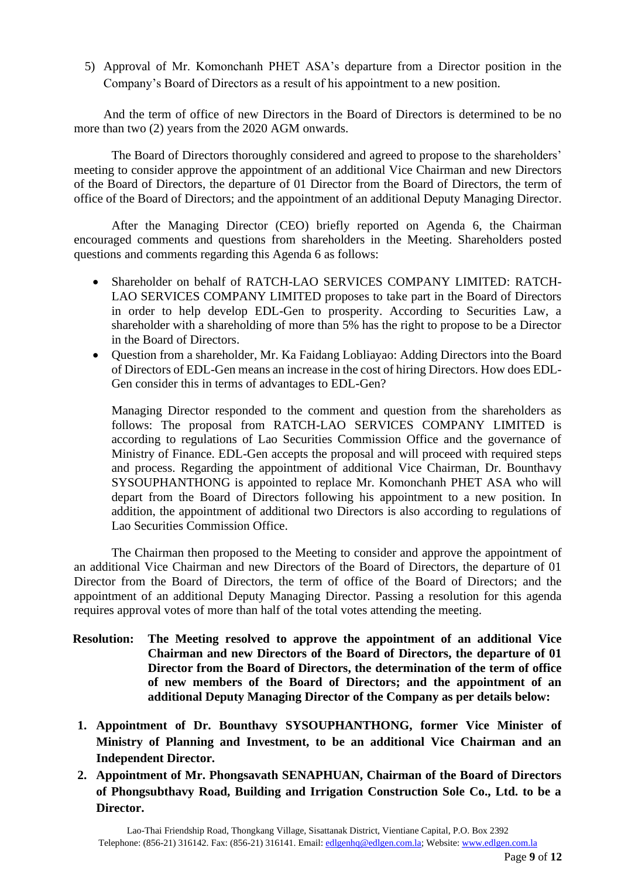5) Approval of Mr. Komonchanh PHET ASA's departure from a Director position in the Company's Board of Directors as a result of his appointment to a new position.

And the term of office of new Directors in the Board of Directors is determined to be no more than two (2) years from the 2020 AGM onwards.

The Board of Directors thoroughly considered and agreed to propose to the shareholders' meeting to consider approve the appointment of an additional Vice Chairman and new Directors of the Board of Directors, the departure of 01 Director from the Board of Directors, the term of office of the Board of Directors; and the appointment of an additional Deputy Managing Director.

After the Managing Director (CEO) briefly reported on Agenda 6, the Chairman encouraged comments and questions from shareholders in the Meeting. Shareholders posted questions and comments regarding this Agenda 6 as follows:

- Shareholder on behalf of RATCH-LAO SERVICES COMPANY LIMITED: RATCH-LAO SERVICES COMPANY LIMITED proposes to take part in the Board of Directors in order to help develop EDL-Gen to prosperity. According to Securities Law, a shareholder with a shareholding of more than 5% has the right to propose to be a Director in the Board of Directors.
- Question from a shareholder, Mr. Ka Faidang Lobliayao: Adding Directors into the Board of Directors of EDL-Gen means an increase in the cost of hiring Directors. How does EDL-Gen consider this in terms of advantages to EDL-Gen?

Managing Director responded to the comment and question from the shareholders as follows: The proposal from RATCH-LAO SERVICES COMPANY LIMITED is according to regulations of Lao Securities Commission Office and the governance of Ministry of Finance. EDL-Gen accepts the proposal and will proceed with required steps and process. Regarding the appointment of additional Vice Chairman, Dr. Bounthavy SYSOUPHANTHONG is appointed to replace Mr. Komonchanh PHET ASA who will depart from the Board of Directors following his appointment to a new position. In addition, the appointment of additional two Directors is also according to regulations of Lao Securities Commission Office.

The Chairman then proposed to the Meeting to consider and approve the appointment of an additional Vice Chairman and new Directors of the Board of Directors, the departure of 01 Director from the Board of Directors, the term of office of the Board of Directors; and the appointment of an additional Deputy Managing Director. Passing a resolution for this agenda requires approval votes of more than half of the total votes attending the meeting.

- **Resolution: The Meeting resolved to approve the appointment of an additional Vice Chairman and new Directors of the Board of Directors, the departure of 01 Director from the Board of Directors, the determination of the term of office of new members of the Board of Directors; and the appointment of an additional Deputy Managing Director of the Company as per details below:**
- **1. Appointment of Dr. Bounthavy SYSOUPHANTHONG, former Vice Minister of Ministry of Planning and Investment, to be an additional Vice Chairman and an Independent Director.**
- **2. Appointment of Mr. Phongsavath SENAPHUAN, Chairman of the Board of Directors of Phongsubthavy Road, Building and Irrigation Construction Sole Co., Ltd. to be a Director.**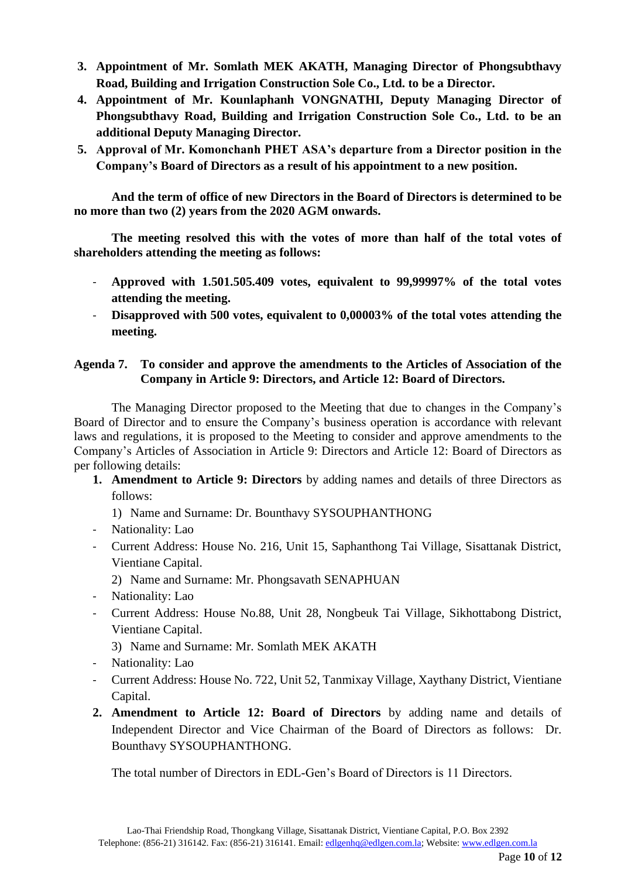- **3. Appointment of Mr. Somlath MEK AKATH, Managing Director of Phongsubthavy Road, Building and Irrigation Construction Sole Co., Ltd. to be a Director.**
- **4. Appointment of Mr. Kounlaphanh VONGNATHI, Deputy Managing Director of Phongsubthavy Road, Building and Irrigation Construction Sole Co., Ltd. to be an additional Deputy Managing Director.**
- **5. Approval of Mr. Komonchanh PHET ASA's departure from a Director position in the Company's Board of Directors as a result of his appointment to a new position.**

**And the term of office of new Directors in the Board of Directors is determined to be no more than two (2) years from the 2020 AGM onwards.**

**The meeting resolved this with the votes of more than half of the total votes of shareholders attending the meeting as follows:**

- **Approved with 1.501.505.409 votes, equivalent to 99,99997% of the total votes attending the meeting.**
- **Disapproved with 500 votes, equivalent to 0,00003% of the total votes attending the meeting.**

# **Agenda 7. To consider and approve the amendments to the Articles of Association of the Company in Article 9: Directors, and Article 12: Board of Directors.**

The Managing Director proposed to the Meeting that due to changes in the Company's Board of Director and to ensure the Company's business operation is accordance with relevant laws and regulations, it is proposed to the Meeting to consider and approve amendments to the Company's Articles of Association in Article 9: Directors and Article 12: Board of Directors as per following details:

- **1. Amendment to Article 9: Directors** by adding names and details of three Directors as follows:
	- 1) Name and Surname: Dr. Bounthavy SYSOUPHANTHONG
- Nationality: Lao
- Current Address: House No. 216, Unit 15, Saphanthong Tai Village, Sisattanak District, Vientiane Capital.
	- 2) Name and Surname: Mr. Phongsavath SENAPHUAN
- Nationality: Lao
- Current Address: House No.88, Unit 28, Nongbeuk Tai Village, Sikhottabong District, Vientiane Capital.
	- 3) Name and Surname: Mr. Somlath MEK AKATH
- Nationality: Lao
- Current Address: House No. 722, Unit 52, Tanmixay Village, Xaythany District, Vientiane Capital.
- **2. Amendment to Article 12: Board of Directors** by adding name and details of Independent Director and Vice Chairman of the Board of Directors as follows: Dr. Bounthavy SYSOUPHANTHONG.

The total number of Directors in EDL-Gen's Board of Directors is 11 Directors.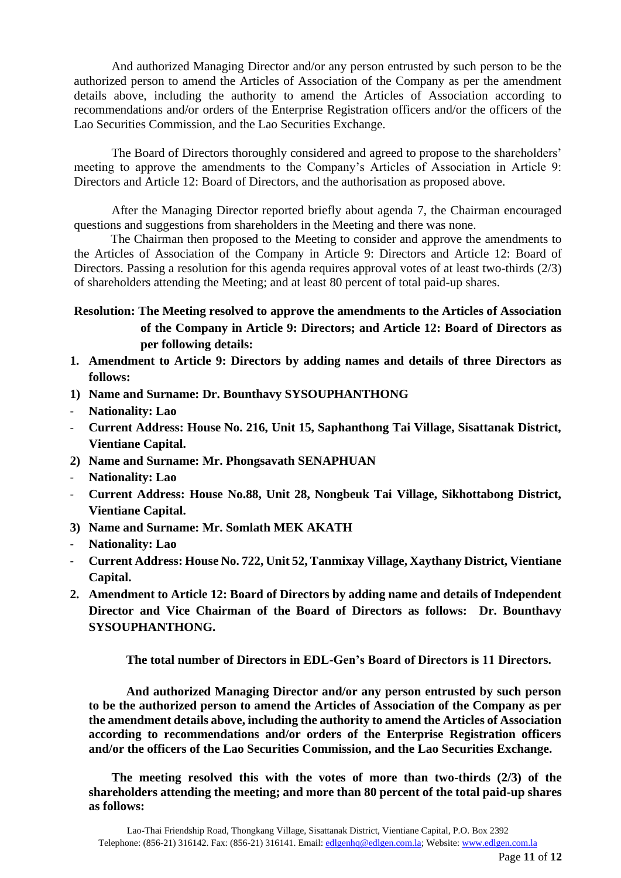And authorized Managing Director and/or any person entrusted by such person to be the authorized person to amend the Articles of Association of the Company as per the amendment details above, including the authority to amend the Articles of Association according to recommendations and/or orders of the Enterprise Registration officers and/or the officers of the Lao Securities Commission, and the Lao Securities Exchange.

The Board of Directors thoroughly considered and agreed to propose to the shareholders' meeting to approve the amendments to the Company's Articles of Association in Article 9: Directors and Article 12: Board of Directors, and the authorisation as proposed above.

After the Managing Director reported briefly about agenda 7, the Chairman encouraged questions and suggestions from shareholders in the Meeting and there was none.

The Chairman then proposed to the Meeting to consider and approve the amendments to the Articles of Association of the Company in Article 9: Directors and Article 12: Board of Directors. Passing a resolution for this agenda requires approval votes of at least two-thirds (2/3) of shareholders attending the Meeting; and at least 80 percent of total paid-up shares.

# **Resolution: The Meeting resolved to approve the amendments to the Articles of Association of the Company in Article 9: Directors; and Article 12: Board of Directors as per following details:**

- **1. Amendment to Article 9: Directors by adding names and details of three Directors as follows:**
- **1) Name and Surname: Dr. Bounthavy SYSOUPHANTHONG**
- **Nationality: Lao**
- **Current Address: House No. 216, Unit 15, Saphanthong Tai Village, Sisattanak District, Vientiane Capital.**
- **2) Name and Surname: Mr. Phongsavath SENAPHUAN**
- **Nationality: Lao**
- **Current Address: House No.88, Unit 28, Nongbeuk Tai Village, Sikhottabong District, Vientiane Capital.**
- **3) Name and Surname: Mr. Somlath MEK AKATH**
- **Nationality: Lao**
- **Current Address: House No. 722, Unit 52, Tanmixay Village, Xaythany District, Vientiane Capital.**
- **2. Amendment to Article 12: Board of Directors by adding name and details of Independent Director and Vice Chairman of the Board of Directors as follows: Dr. Bounthavy SYSOUPHANTHONG.**

**The total number of Directors in EDL-Gen's Board of Directors is 11 Directors.**

**And authorized Managing Director and/or any person entrusted by such person to be the authorized person to amend the Articles of Association of the Company as per the amendment details above, including the authority to amend the Articles of Association according to recommendations and/or orders of the Enterprise Registration officers and/or the officers of the Lao Securities Commission, and the Lao Securities Exchange.**

**The meeting resolved this with the votes of more than two-thirds (2/3) of the shareholders attending the meeting; and more than 80 percent of the total paid-up shares as follows:**